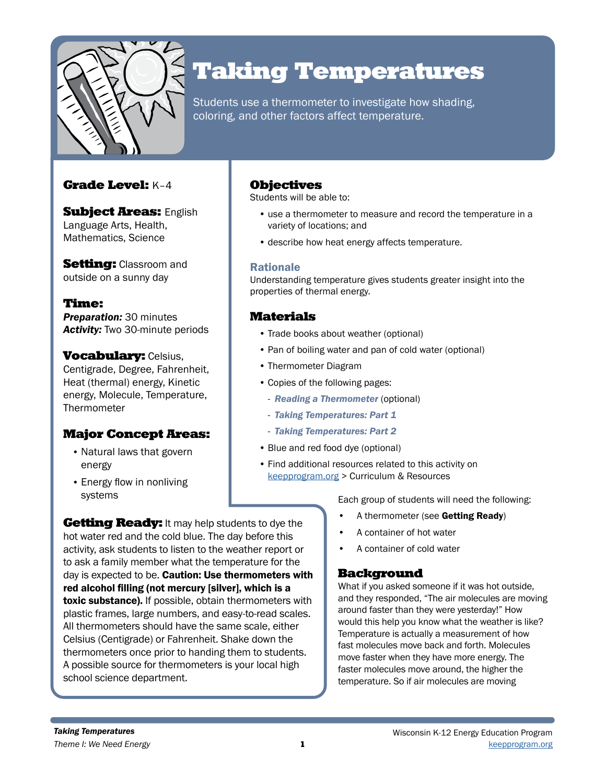

# Taking Temperatures

Students use a thermometer to investigate how shading, coloring, and other factors affect temperature.

## Grade Level: K–4

**Subject Areas: English** Language Arts, Health, Mathematics, Science

**Setting: Classroom and** outside on a sunny day

Time: **Preparation: 30 minutes** *Activity:* Two 30-minute periods

**Vocabulary: Celsius,** Centigrade, Degree, Fahrenheit, Heat (thermal) energy, Kinetic energy, Molecule, Temperature, **Thermometer** 

# Major Concept Areas:

- Natural laws that govern energy
- Energy flow in nonliving systems

**Getting Ready:** It may help students to dye the hot water red and the cold blue. The day before this activity, ask students to listen to the weather report or to ask a family member what the temperature for the day is expected to be. Caution: Use thermometers with red alcohol filling (not mercury [silver], which is a toxic substance). If possible, obtain thermometers with plastic frames, large numbers, and easy-to-read scales. All thermometers should have the same scale, either Celsius (Centigrade) or Fahrenheit. Shake down the thermometers once prior to handing them to students. A possible source for thermometers is your local high

# Objectives

Students will be able to:

- use a thermometer to measure and record the temperature in a variety of locations; and
- describe how heat energy affects temperature.

## Rationale

Understanding temperature gives students greater insight into the properties of thermal energy.

# Materials

- Trade books about weather (optional)
- Pan of boiling water and pan of cold water (optional)
- Thermometer Diagram
- Copies of the following pages:
	- *Reading a Thermometer* (optional)
	- *Taking Temperatures: Part 1*
	- *Taking Temperatures: Part 2*
- Blue and red food dye (optional)
- Find additional resources related to this activity on [keepprogram.org](http://keepprogram.org) > Curriculum & Resources

Each group of students will need the following:

- A thermometer (see Getting Ready)
- A container of hot water
- A container of cold water

# **Background**

What if you asked someone if it was hot outside, and they responded, "The air molecules are moving around faster than they were yesterday!" How would this help you know what the weather is like? Temperature is actually a measurement of how fast molecules move back and forth. Molecules move faster when they have more energy. The faster molecules move around, the higher the temperature. So if air molecules are moving

school science department.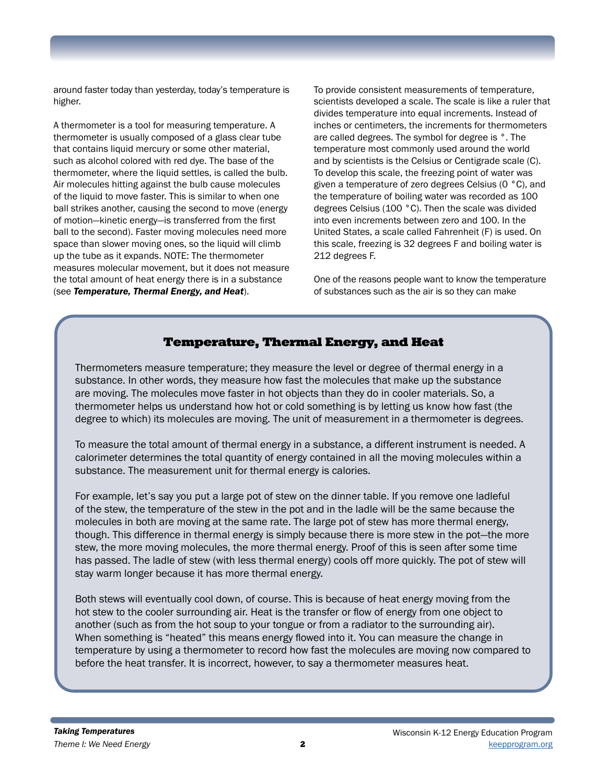around faster today than yesterday, today's temperature is higher.

A thermometer is a tool for measuring temperature. A thermometer is usually composed of a glass clear tube that contains liquid mercury or some other material, such as alcohol colored with red dye. The base of the thermometer, where the liquid settles, is called the bulb. Air molecules hitting against the bulb cause molecules of the liquid to move faster. This is similar to when one ball strikes another, causing the second to move (energy of motion—kinetic energy—is transferred from the first ball to the second). Faster moving molecules need more space than slower moving ones, so the liquid will climb up the tube as it expands. NOTE: The thermometer measures molecular movement, but it does not measure the total amount of heat energy there is in a substance (see *Temperature, Thermal Energy, and Heat*).

To provide consistent measurements of temperature, scientists developed a scale. The scale is like a ruler that divides temperature into equal increments. Instead of inches or centimeters, the increments for thermometers are called degrees. The symbol for degree is °. The temperature most commonly used around the world and by scientists is the Celsius or Centigrade scale (C). To develop this scale, the freezing point of water was given a temperature of zero degrees Celsius (0 °C), and the temperature of boiling water was recorded as 100 degrees Celsius (100 °C). Then the scale was divided into even increments between zero and 100. In the United States, a scale called Fahrenheit (F) is used. On this scale, freezing is 32 degrees F and boiling water is 212 degrees F.

One of the reasons people want to know the temperature of substances such as the air is so they can make

## Temperature, Thermal Energy, and Heat

Thermometers measure temperature; they measure the level or degree of thermal energy in a substance. In other words, they measure how fast the molecules that make up the substance are moving. The molecules move faster in hot objects than they do in cooler materials. So, a thermometer helps us understand how hot or cold something is by letting us know how fast (the degree to which) its molecules are moving. The unit of measurement in a thermometer is degrees.

To measure the total amount of thermal energy in a substance, a different instrument is needed. A calorimeter determines the total quantity of energy contained in all the moving molecules within a substance. The measurement unit for thermal energy is calories.

For example, let's say you put a large pot of stew on the dinner table. If you remove one ladleful of the stew, the temperature of the stew in the pot and in the ladle will be the same because the molecules in both are moving at the same rate. The large pot of stew has more thermal energy, though. This difference in thermal energy is simply because there is more stew in the pot—the more stew, the more moving molecules, the more thermal energy. Proof of this is seen after some time has passed. The ladle of stew (with less thermal energy) cools off more quickly. The pot of stew will stay warm longer because it has more thermal energy.

Both stews will eventually cool down, of course. This is because of heat energy moving from the hot stew to the cooler surrounding air. Heat is the transfer or flow of energy from one object to another (such as from the hot soup to your tongue or from a radiator to the surrounding air). When something is "heated" this means energy flowed into it. You can measure the change in temperature by using a thermometer to record how fast the molecules are moving now compared to before the heat transfer. It is incorrect, however, to say a thermometer measures heat.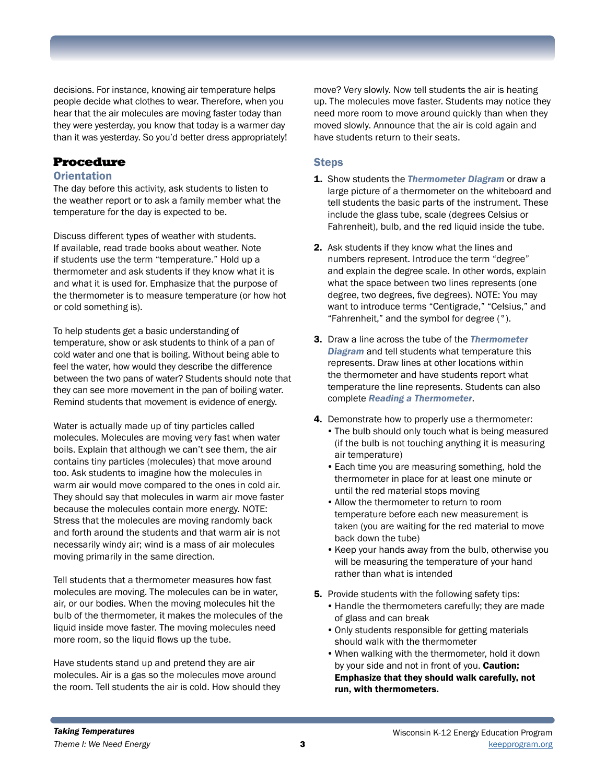decisions. For instance, knowing air temperature helps people decide what clothes to wear. Therefore, when you hear that the air molecules are moving faster today than they were yesterday, you know that today is a warmer day than it was yesterday. So you'd better dress appropriately!

## Procedure

### **Orientation**

The day before this activity, ask students to listen to the weather report or to ask a family member what the temperature for the day is expected to be.

Discuss different types of weather with students. If available, read trade books about weather. Note if students use the term "temperature." Hold up a thermometer and ask students if they know what it is and what it is used for. Emphasize that the purpose of the thermometer is to measure temperature (or how hot or cold something is).

To help students get a basic understanding of temperature, show or ask students to think of a pan of cold water and one that is boiling. Without being able to feel the water, how would they describe the difference between the two pans of water? Students should note that they can see more movement in the pan of boiling water. Remind students that movement is evidence of energy.

Water is actually made up of tiny particles called molecules. Molecules are moving very fast when water boils. Explain that although we can't see them, the air contains tiny particles (molecules) that move around too. Ask students to imagine how the molecules in warm air would move compared to the ones in cold air. They should say that molecules in warm air move faster because the molecules contain more energy. NOTE: Stress that the molecules are moving randomly back and forth around the students and that warm air is not necessarily windy air; wind is a mass of air molecules moving primarily in the same direction.

Tell students that a thermometer measures how fast molecules are moving. The molecules can be in water, air, or our bodies. When the moving molecules hit the bulb of the thermometer, it makes the molecules of the liquid inside move faster. The moving molecules need more room, so the liquid flows up the tube.

Have students stand up and pretend they are air molecules. Air is a gas so the molecules move around the room. Tell students the air is cold. How should they move? Very slowly. Now tell students the air is heating up. The molecules move faster. Students may notice they need more room to move around quickly than when they moved slowly. Announce that the air is cold again and have students return to their seats.

## **Steps**

- 1. Show students the *Thermometer Diagram* or draw a large picture of a thermometer on the whiteboard and tell students the basic parts of the instrument. These include the glass tube, scale (degrees Celsius or Fahrenheit), bulb, and the red liquid inside the tube.
- 2. Ask students if they know what the lines and numbers represent. Introduce the term "degree" and explain the degree scale. In other words, explain what the space between two lines represents (one degree, two degrees, five degrees). NOTE: You may want to introduce terms "Centigrade," "Celsius," and "Fahrenheit," and the symbol for degree (°).
- 3. Draw a line across the tube of the *Thermometer Diagram* and tell students what temperature this represents. Draw lines at other locations within the thermometer and have students report what temperature the line represents. Students can also complete *Reading a Thermometer*.
- 4. Demonstrate how to properly use a thermometer:
	- •The bulb should only touch what is being measured (if the bulb is not touching anything it is measuring air temperature)
	- •Each time you are measuring something, hold the thermometer in place for at least one minute or until the red material stops moving
	- •Allow the thermometer to return to room temperature before each new measurement is taken (you are waiting for the red material to move back down the tube)
	- •Keep your hands away from the bulb, otherwise you will be measuring the temperature of your hand rather than what is intended
- **5.** Provide students with the following safety tips:
	- •Handle the thermometers carefully; they are made of glass and can break
	- •Only students responsible for getting materials should walk with the thermometer
	- •When walking with the thermometer, hold it down by your side and not in front of you. **Caution:** Emphasize that they should walk carefully, not run, with thermometers.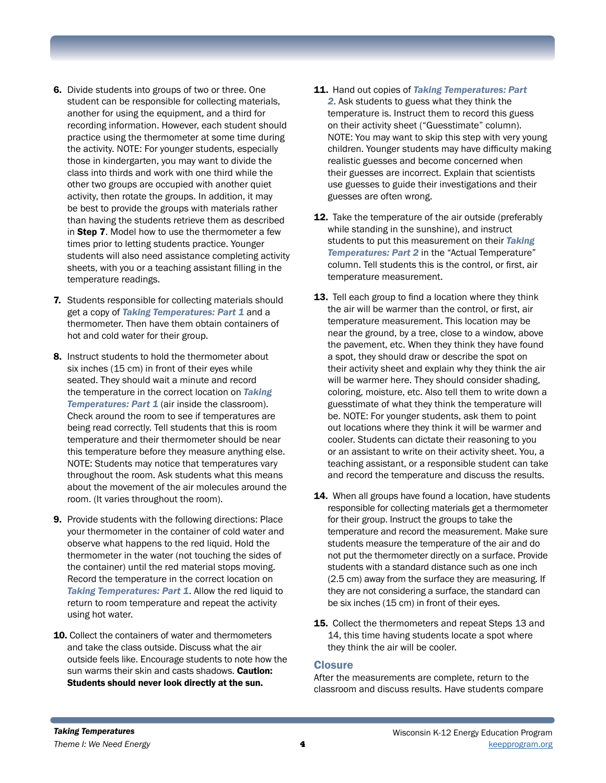- 6. Divide students into groups of two or three. One student can be responsible for collecting materials, another for using the equipment, and a third for recording information. However, each student should practice using the thermometer at some time during the activity. NOTE: For younger students, especially those in kindergarten, you may want to divide the class into thirds and work with one third while the other two groups are occupied with another quiet activity, then rotate the groups. In addition, it may be best to provide the groups with materials rather than having the students retrieve them as described in Step 7. Model how to use the thermometer a few times prior to letting students practice. Younger students will also need assistance completing activity sheets, with you or a teaching assistant filling in the temperature readings.
- 7. Students responsible for collecting materials should get a copy of *Taking Temperatures: Part 1* and a thermometer. Then have them obtain containers of hot and cold water for their group.
- 8. Instruct students to hold the thermometer about six inches (15 cm) in front of their eyes while seated. They should wait a minute and record the temperature in the correct location on *Taking*  **Temperatures: Part 1** (air inside the classroom). Check around the room to see if temperatures are being read correctly. Tell students that this is room temperature and their thermometer should be near this temperature before they measure anything else. NOTE: Students may notice that temperatures vary throughout the room. Ask students what this means about the movement of the air molecules around the room. (It varies throughout the room).
- 9. Provide students with the following directions: Place your thermometer in the container of cold water and observe what happens to the red liquid. Hold the thermometer in the water (not touching the sides of the container) until the red material stops moving. Record the temperature in the correct location on *Taking Temperatures: Part 1*. Allow the red liquid to return to room temperature and repeat the activity using hot water.
- 10. Collect the containers of water and thermometers and take the class outside. Discuss what the air outside feels like. Encourage students to note how the sun warms their skin and casts shadows. **Caution:** Students should never look directly at the sun.
- 11. Hand out copies of *Taking Temperatures: Part 2*. Ask students to guess what they think the temperature is. Instruct them to record this guess on their activity sheet ("Guesstimate" column). NOTE: You may want to skip this step with very young children. Younger students may have difficulty making realistic guesses and become concerned when their guesses are incorrect. Explain that scientists use guesses to guide their investigations and their guesses are often wrong.
- 12. Take the temperature of the air outside (preferably while standing in the sunshine), and instruct students to put this measurement on their *Taking Temperatures: Part 2* in the "Actual Temperature" column. Tell students this is the control, or first, air temperature measurement.
- 13. Tell each group to find a location where they think the air will be warmer than the control, or first, air temperature measurement. This location may be near the ground, by a tree, close to a window, above the pavement, etc. When they think they have found a spot, they should draw or describe the spot on their activity sheet and explain why they think the air will be warmer here. They should consider shading, coloring, moisture, etc. Also tell them to write down a guesstimate of what they think the temperature will be. NOTE: For younger students, ask them to point out locations where they think it will be warmer and cooler. Students can dictate their reasoning to you or an assistant to write on their activity sheet. You, a teaching assistant, or a responsible student can take and record the temperature and discuss the results.
- 14. When all groups have found a location, have students responsible for collecting materials get a thermometer for their group. Instruct the groups to take the temperature and record the measurement. Make sure students measure the temperature of the air and do not put the thermometer directly on a surface. Provide students with a standard distance such as one inch (2.5 cm) away from the surface they are measuring. If they are not considering a surface, the standard can be six inches (15 cm) in front of their eyes.
- **15.** Collect the thermometers and repeat Steps 13 and 14, this time having students locate a spot where they think the air will be cooler.

#### **Closure**

After the measurements are complete, return to the classroom and discuss results. Have students compare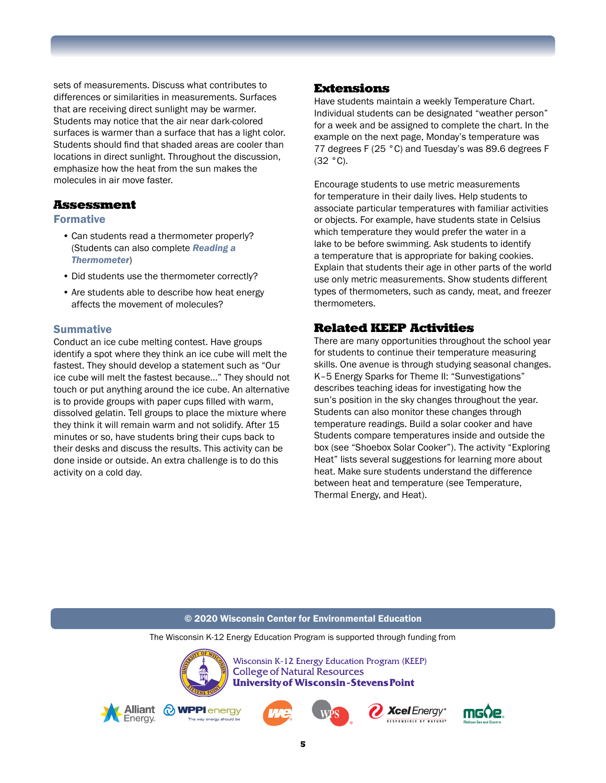sets of measurements. Discuss what contributes to differences or similarities in measurements. Surfaces that are receiving direct sunlight may be warmer. Students may notice that the air near dark-colored surfaces is warmer than a surface that has a light color. Students should find that shaded areas are cooler than locations in direct sunlight. Throughout the discussion, emphasize how the heat from the sun makes the molecules in air move faster.

## Assessment

### Formative

- Can students read a thermometer properly? (Students can also complete *Reading a Thermometer*)
- Did students use the thermometer correctly?
- Are students able to describe how heat energy affects the movement of molecules?

### **Summative**

Conduct an ice cube melting contest. Have groups identify a spot where they think an ice cube will melt the fastest. They should develop a statement such as "Our ice cube will melt the fastest because..." They should not touch or put anything around the ice cube. An alternative is to provide groups with paper cups filled with warm, dissolved gelatin. Tell groups to place the mixture where they think it will remain warm and not solidify. After 15 minutes or so, have students bring their cups back to their desks and discuss the results. This activity can be done inside or outside. An extra challenge is to do this activity on a cold day.

## Extensions

Have students maintain a weekly Temperature Chart. Individual students can be designated "weather person" for a week and be assigned to complete the chart. In the example on the next page, Monday's temperature was 77 degrees F (25 °C) and Tuesday's was 89.6 degrees F (32 °C).

Encourage students to use metric measurements for temperature in their daily lives. Help students to associate particular temperatures with familiar activities or objects. For example, have students state in Celsius which temperature they would prefer the water in a lake to be before swimming. Ask students to identify a temperature that is appropriate for baking cookies. Explain that students their age in other parts of the world use only metric measurements. Show students different types of thermometers, such as candy, meat, and freezer thermometers.

## Related KEEP Activities

There are many opportunities throughout the school year for students to continue their temperature measuring skills. One avenue is through studying seasonal changes. K–5 Energy Sparks for Theme II: "Sunvestigations" describes teaching ideas for investigating how the sun's position in the sky changes throughout the year. Students can also monitor these changes through temperature readings. Build a solar cooker and have Students compare temperatures inside and outside the box (see "Shoebox Solar Cooker"). The activity "Exploring Heat" lists several suggestions for learning more about heat. Make sure students understand the difference between heat and temperature (see Temperature, Thermal Energy, and Heat).

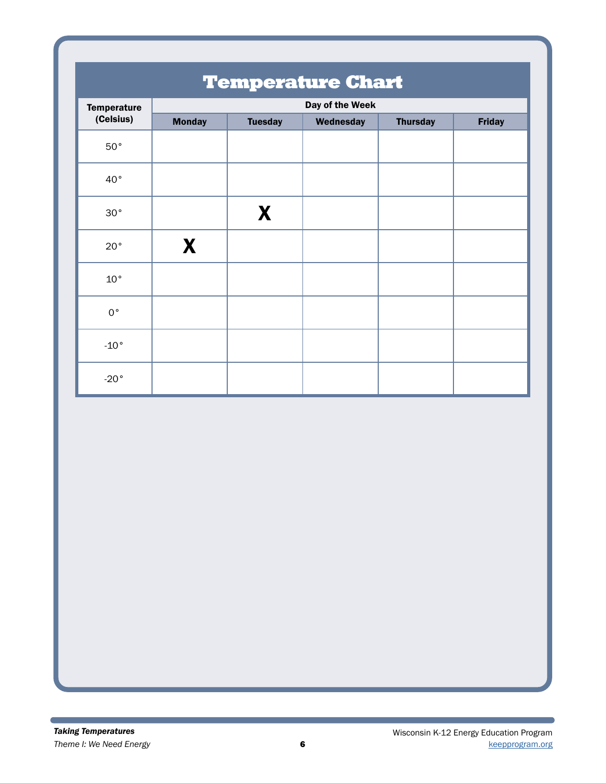| <b>Temperature Chart</b>        |                 |                |           |                 |               |  |  |
|---------------------------------|-----------------|----------------|-----------|-----------------|---------------|--|--|
| <b>Temperature</b><br>(Celsius) | Day of the Week |                |           |                 |               |  |  |
|                                 | <b>Monday</b>   | <b>Tuesday</b> | Wednesday | <b>Thursday</b> | <b>Friday</b> |  |  |
| $50^{\circ}$                    |                 |                |           |                 |               |  |  |
| 40°                             |                 |                |           |                 |               |  |  |
| 30°                             |                 | X              |           |                 |               |  |  |
| 20°                             | X               |                |           |                 |               |  |  |
| $10^{\circ}$                    |                 |                |           |                 |               |  |  |
| $0^{\circ}$                     |                 |                |           |                 |               |  |  |
| $-10°$                          |                 |                |           |                 |               |  |  |
| $-20°$                          |                 |                |           |                 |               |  |  |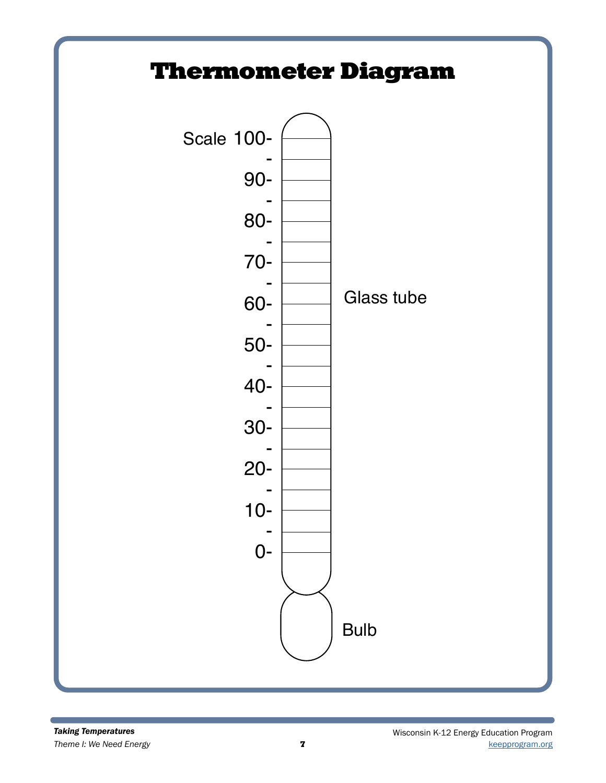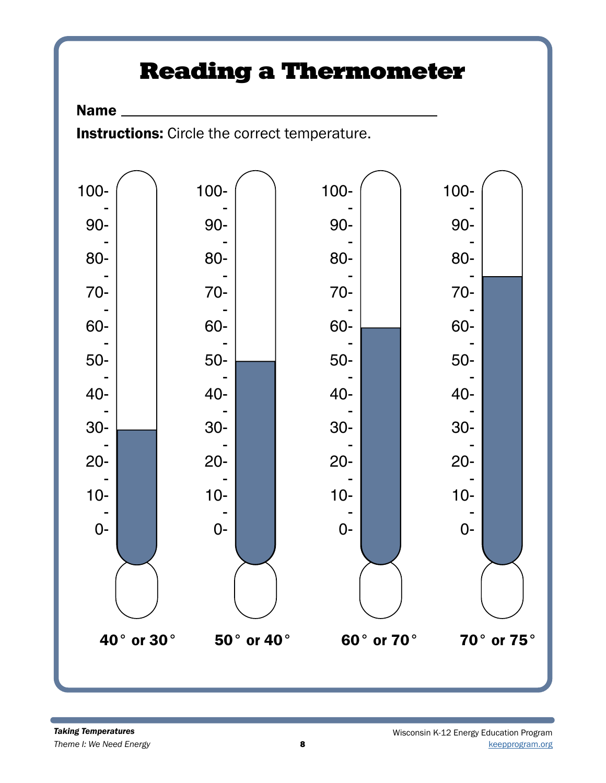# Reading a Thermometer

# Name

Instructions: Circle the correct temperature.

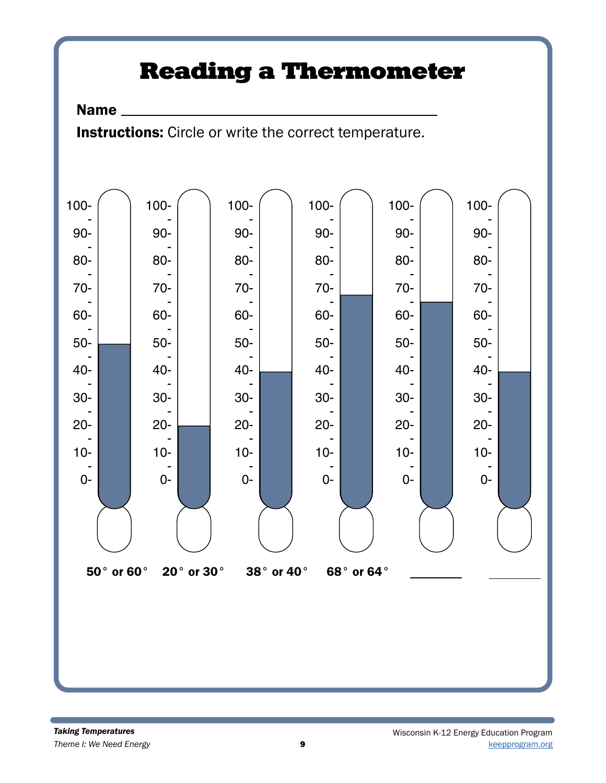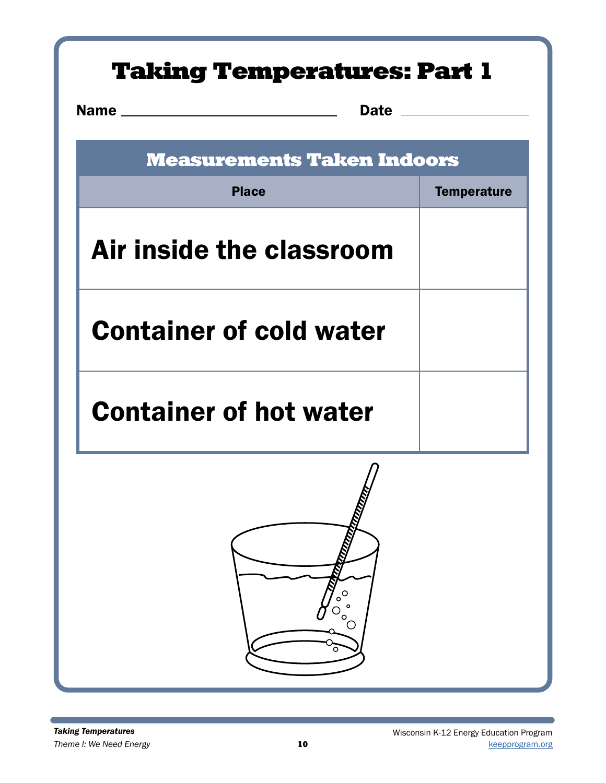| <b>Taking Temperatures: Part 1</b>                                                                                         |                    |  |  |  |  |
|----------------------------------------------------------------------------------------------------------------------------|--------------------|--|--|--|--|
| <b>Name</b><br>Date ______<br><u> 1980 - Jan Stein Berlin, amerikansk politiker (</u><br><b>Measurements Taken Indoors</b> |                    |  |  |  |  |
| <b>Place</b>                                                                                                               | <b>Temperature</b> |  |  |  |  |
| Air inside the classroom                                                                                                   |                    |  |  |  |  |
| <b>Container of cold water</b>                                                                                             |                    |  |  |  |  |
| <b>Container of hot water</b>                                                                                              |                    |  |  |  |  |
| O<br>o<br>o<br>o                                                                                                           |                    |  |  |  |  |